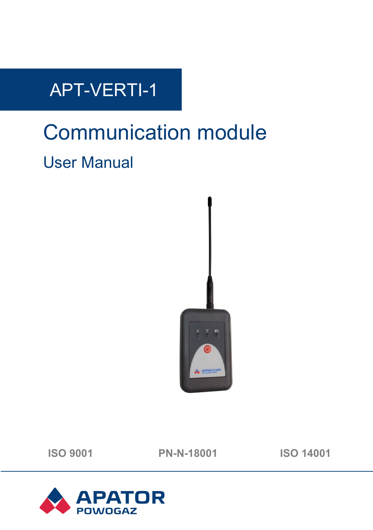## APT-VERTI-1

# Communication module User Manual



**ISO 9001 PN-N-18001 ISO 14001**

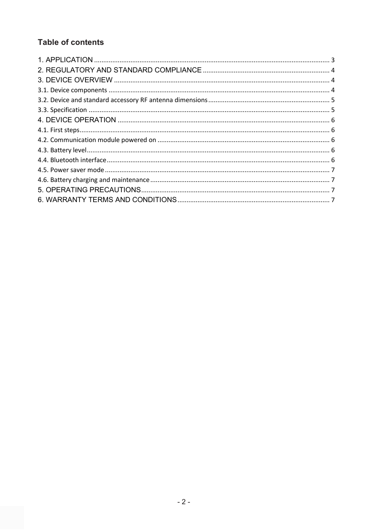## **Table of contents**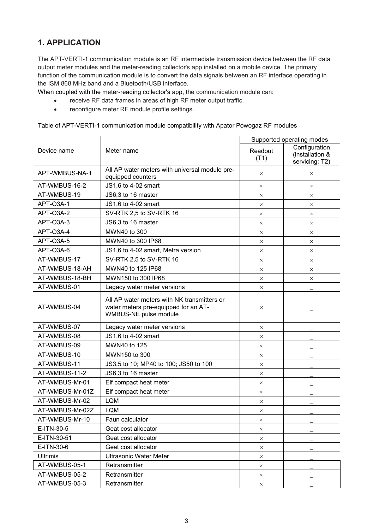### <span id="page-2-0"></span>**1. APPLICATION**

The APT-VERTI-1 communication module is an RF intermediate transmission device between the RF data output meter modules and the meter-reading collector's app installed on a mobile device. The primary function of the communication module is to convert the data signals between an RF interface operating in the ISM 868 MHz band and a Bluetooth/USB interface.

When coupled with the meter-reading collector's app, the communication module can:

- receive RF data frames in areas of high RF meter output traffic.
- reconfigure meter RF module profile settings.

Table of APT-VERTI-1 communication module compatibility with Apator Powogaz RF modules

|                 | Meter name                                                                                                   | Supported operating modes |                                                    |
|-----------------|--------------------------------------------------------------------------------------------------------------|---------------------------|----------------------------------------------------|
| Device name     |                                                                                                              | Readout<br>(T1)           | Configuration<br>(installation &<br>servicing: T2) |
| APT-WMBUS-NA-1  | All AP water meters with universal module pre-<br>equipped counters                                          | $\times$                  | $\times$                                           |
| AT-WMBUS-16-2   | JS1,6 to 4-02 smart                                                                                          | $\times$                  | $\times$                                           |
| AT-WMBUS-19     | JS6,3 to 16 master                                                                                           | $\times$                  | $\times$                                           |
| APT-03A-1       | JS1,6 to 4-02 smart                                                                                          | $\times$                  | $\times$                                           |
| APT-O3A-2       | SV-RTK 2,5 to SV-RTK 16                                                                                      | $\times$                  | $\times$                                           |
| APT-O3A-3       | JS6,3 to 16 master                                                                                           | $\times$                  | $\times$                                           |
| APT-O3A-4       | MWN40 to 300                                                                                                 | $\times$                  | $\times$                                           |
| APT-03A-5       | MWN40 to 300 IP68                                                                                            | $\times$                  | $\times$                                           |
| APT-O3A-6       | JS1,6 to 4-02 smart, Metra version                                                                           | $\times$                  | $\times$                                           |
| AT-WMBUS-17     | SV-RTK 2.5 to SV-RTK 16                                                                                      | $\times$                  | $\times$                                           |
| AT-WMBUS-18-AH  | MWN40 to 125 IP68                                                                                            | $\times$                  | $\times$                                           |
| AT-WMBUS-18-BH  | MWN150 to 300 IP68                                                                                           | $\times$                  | $\times$                                           |
| AT-WMBUS-01     | Legacy water meter versions                                                                                  | $\times$                  |                                                    |
| AT-WMBUS-04     | All AP water meters with NK transmitters or<br>water meters pre-equipped for an AT-<br>WMBUS-NE pulse module | $\times$                  |                                                    |
| AT-WMBUS-07     | Legacy water meter versions                                                                                  | $\times$                  |                                                    |
| AT-WMBUS-08     | JS1,6 to 4-02 smart                                                                                          | $\times$                  |                                                    |
| AT-WMBUS-09     | MWN40 to 125                                                                                                 | $\times$                  |                                                    |
| AT-WMBUS-10     | MWN150 to 300                                                                                                | $\times$                  |                                                    |
| AT-WMBUS-11     | JS3,5 to 10; MP40 to 100; JS50 to 100                                                                        | $\times$                  |                                                    |
| AT-WMBUS-11-2   | JS6,3 to 16 master                                                                                           | $\times$                  |                                                    |
| AT-WMBUS-Mr-01  | Elf compact heat meter                                                                                       | $\times$                  |                                                    |
| AT-WMBUS-Mr-01Z | Elf compact heat meter                                                                                       | $\times$                  |                                                    |
| AT-WMBUS-Mr-02  | LQM                                                                                                          | $\times$                  |                                                    |
| AT-WMBUS-Mr-02Z | <b>LQM</b>                                                                                                   | $\times$                  |                                                    |
| AT-WMBUS-Mr-10  | Faun calculator                                                                                              | $\times$                  |                                                    |
| E-ITN-30-5      | Geat cost allocator                                                                                          | $\times$                  |                                                    |
| E-ITN-30-51     | Geat cost allocator                                                                                          | $\times$                  |                                                    |
| E-ITN-30-6      | Geat cost allocator                                                                                          | $\times$                  |                                                    |
| Ultrimis        | <b>Ultrasonic Water Meter</b>                                                                                | $\times$                  |                                                    |
| AT-WMBUS-05-1   | Retransmitter                                                                                                | $\times$                  |                                                    |
| AT-WMBUS-05-2   | Retransmitter                                                                                                | $\times$                  |                                                    |
| AT-WMBUS-05-3   | Retransmitter                                                                                                | $\times$                  |                                                    |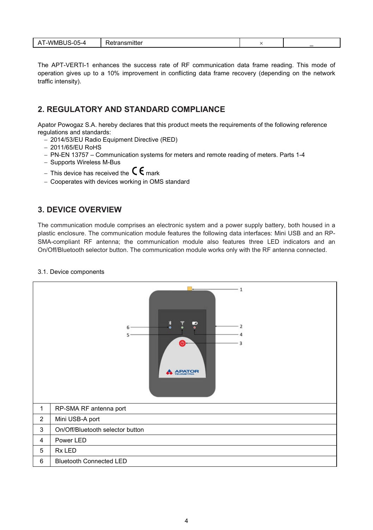| -WM.<br>ハム<br>- ---<br>.<br>Reuansmuer<br>---<br>ົ້າ–ບພ<br>$\overline{\phantom{a}}$<br>.<br>__<br>. . |  | $\overline{\phantom{a}}$ |
|-------------------------------------------------------------------------------------------------------|--|--------------------------|
|-------------------------------------------------------------------------------------------------------|--|--------------------------|

The APT-VERTI-1 enhances the success rate of RF communication data frame reading. This mode of operation gives up to a 10% improvement in conflicting data frame recovery (depending on the network traffic intensity).

#### <span id="page-3-0"></span>**2. REGULATORY AND STANDARD COMPLIANCE**

Apator Powogaz S.A. hereby declares that this product meets the requirements of the following reference regulations and standards:

- − 2014/53/EU Radio Equipment Directive (RED)
- − 2011/65/EU RoHS
- − PN-EN 13757 Communication systems for meters and remote reading of meters. Parts 1-4
- − Supports Wireless M-Bus
- − This device has received the  $\mathsf{C}\,\mathsf{E}$  mark
- − Cooperates with devices working in OMS standard

#### <span id="page-3-1"></span>**3. DEVICE OVERVIEW**

The communication module comprises an electronic system and a power supply battery, both housed in a plastic enclosure. The communication module features the following data interfaces: Mini USB and an RP-SMA-compliant RF antenna; the communication module also features three LED indicators and an On/Off/Bluetooth selector button. The communication module works only with the RF antenna connected.



<span id="page-3-2"></span>3.1. Device components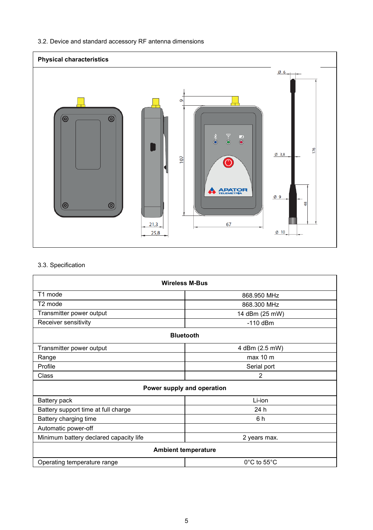#### <span id="page-4-0"></span>3.2. Device and standard accessory RF antenna dimensions



#### <span id="page-4-1"></span>3.3. Specification

| <b>Wireless M-Bus</b>                  |                                  |  |  |  |
|----------------------------------------|----------------------------------|--|--|--|
| T1 mode                                | 868.950 MHz                      |  |  |  |
| T <sub>2</sub> mode                    | 868.300 MHz                      |  |  |  |
| Transmitter power output               | 14 dBm (25 mW)                   |  |  |  |
| Receiver sensitivity                   | $-110$ dBm                       |  |  |  |
| <b>Bluetooth</b>                       |                                  |  |  |  |
| Transmitter power output               | 4 dBm (2.5 mW)                   |  |  |  |
| Range                                  | max 10 m                         |  |  |  |
| Profile                                | Serial port                      |  |  |  |
| Class                                  | $\overline{2}$                   |  |  |  |
| Power supply and operation             |                                  |  |  |  |
| Battery pack                           | Li-ion                           |  |  |  |
| Battery support time at full charge    | 24 h                             |  |  |  |
| Battery charging time                  | 6h                               |  |  |  |
| Automatic power-off                    |                                  |  |  |  |
| Minimum battery declared capacity life | 2 years max.                     |  |  |  |
| <b>Ambient temperature</b>             |                                  |  |  |  |
| Operating temperature range            | $0^{\circ}$ C to 55 $^{\circ}$ C |  |  |  |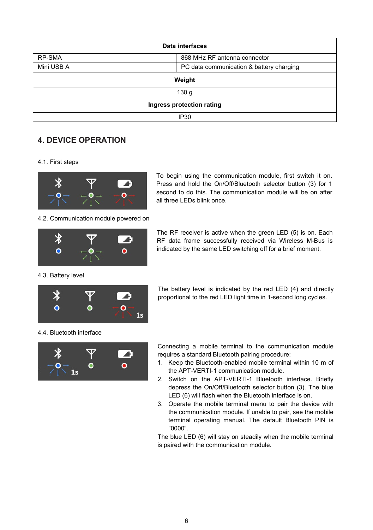| Data interfaces           |                                          |  |  |
|---------------------------|------------------------------------------|--|--|
| RP-SMA                    | 868 MHz RF antenna connector             |  |  |
| Mini USB A                | PC data communication & battery charging |  |  |
| Weight                    |                                          |  |  |
| 130 <sub>g</sub>          |                                          |  |  |
| Ingress protection rating |                                          |  |  |
| IP <sub>30</sub>          |                                          |  |  |

#### <span id="page-5-0"></span>**4. DEVICE OPERATION**

<span id="page-5-1"></span>4.1. First steps



4.2. Communication module powered on

<span id="page-5-2"></span>

To begin using the communication module, first switch it on. Press and hold the On/Off/Bluetooth selector button (3) for 1 second to do this. The communication module will be on after all three LEDs blink once.

The RF receiver is active when the green LED (5) is on. Each RF data frame successfully received via Wireless M-Bus is indicated by the same LED switching off for a brief moment.

<span id="page-5-3"></span>4.3. Battery level



The battery level is indicated by the red LED (4) and directly proportional to the red LED light time in 1-second long cycles.

<span id="page-5-4"></span>4.4. Bluetooth interface



Connecting a mobile terminal to the communication module requires a standard Bluetooth pairing procedure:

- 1. Keep the Bluetooth-enabled mobile terminal within 10 m of the APT-VERTI-1 communication module.
- 2. Switch on the APT-VERTI-1 Bluetooth interface. Briefly depress the On/Off/Bluetooth selector button (3). The blue LED (6) will flash when the Bluetooth interface is on.
- 3. Operate the mobile terminal menu to pair the device with the communication module. If unable to pair, see the mobile terminal operating manual. The default Bluetooth PIN is "0000".

The blue LED (6) will stay on steadily when the mobile terminal is paired with the communication module.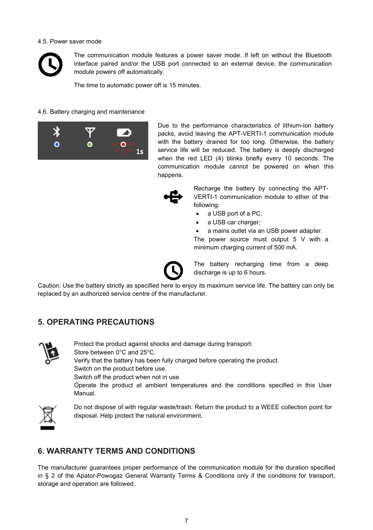#### <span id="page-6-0"></span>4.5. Power saver mode



The communication module features a power saver mode. If left on without the Bluetooth interface paired and/or the USB port connected to an external device, the communication module powers off automatically.

The time to automatic power off is 15 minutes.

#### <span id="page-6-1"></span>4.6. Battery charging and maintenance



Due to the performance characteristics of lithium-ion battery packs, avoid leaving the APT-VERTI-1 communication module with the battery drained for too long. Otherwise, the battery service life will be reduced. The battery is deeply discharged when the red LED (4) blinks briefly every 10 seconds. The communication module cannot be powered on when this happens.



Recharge the battery by connecting the APT-VERTI-1 communication module to ether of the following:

- a USB port of a PC;
- a USB car charger:

a mains outlet via an USB power adapter.

The power source must output 5 V with a minimum charging current of 500 mA.



The battery recharging time from a deep discharge is up to 6 hours.

Caution: Use the battery strictly as specified here to enjoy its maximum service life. The battery can only be replaced by an authorized service centre of the manufacturer.

#### <span id="page-6-2"></span>**5. OPERATING PRECAUTIONS**



Protect the product against shocks and damage during transport. Store between 0°C and 25°C. Verify that the battery has been fully charged before operating the product. Switch on the product before use. Switch off the product when not in use. Operate the product at ambient temperatures and the conditions specified in this User Manual.



Do not dispose of with regular waste/trash. Return the product to a WEEE collection point for disposal. Help protect the natural environment.

#### <span id="page-6-3"></span>**6. WARRANTY TERMS AND CONDITIONS**

The manufacturer guarantees proper performance of the communication module for the duration specified in § 2 of the Apator-Powogaz General Warranty Terms & Conditions only if the conditions for transport, storage and operation are followed.